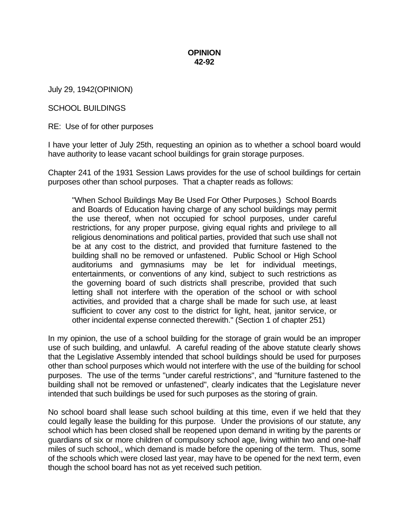## **OPINION 42-92**

July 29, 1942(OPINION)

## SCHOOL BUILDINGS

RE: Use of for other purposes

I have your letter of July 25th, requesting an opinion as to whether a school board would have authority to lease vacant school buildings for grain storage purposes.

Chapter 241 of the 1931 Session Laws provides for the use of school buildings for certain purposes other than school purposes. That a chapter reads as follows:

"When School Buildings May Be Used For Other Purposes.) School Boards and Boards of Education having charge of any school buildings may permit the use thereof, when not occupied for school purposes, under careful restrictions, for any proper purpose, giving equal rights and privilege to all religious denominations and political parties, provided that such use shall not be at any cost to the district, and provided that furniture fastened to the building shall no be removed or unfastened. Public School or High School auditoriums and gymnasiums may be let for individual meetings, entertainments, or conventions of any kind, subject to such restrictions as the governing board of such districts shall prescribe, provided that such letting shall not interfere with the operation of the school or with school activities, and provided that a charge shall be made for such use, at least sufficient to cover any cost to the district for light, heat, janitor service, or other incidental expense connected therewith." (Section 1 of chapter 251)

In my opinion, the use of a school building for the storage of grain would be an improper use of such building, and unlawful. A careful reading of the above statute clearly shows that the Legislative Assembly intended that school buildings should be used for purposes other than school purposes which would not interfere with the use of the building for school purposes. The use of the terms "under careful restrictions", and "furniture fastened to the building shall not be removed or unfastened", clearly indicates that the Legislature never intended that such buildings be used for such purposes as the storing of grain.

No school board shall lease such school building at this time, even if we held that they could legally lease the building for this purpose. Under the provisions of our statute, any school which has been closed shall be reopened upon demand in writing by the parents or guardians of six or more children of compulsory school age, living within two and one-half miles of such school,, which demand is made before the opening of the term. Thus, some of the schools which were closed last year, may have to be opened for the next term, even though the school board has not as yet received such petition.